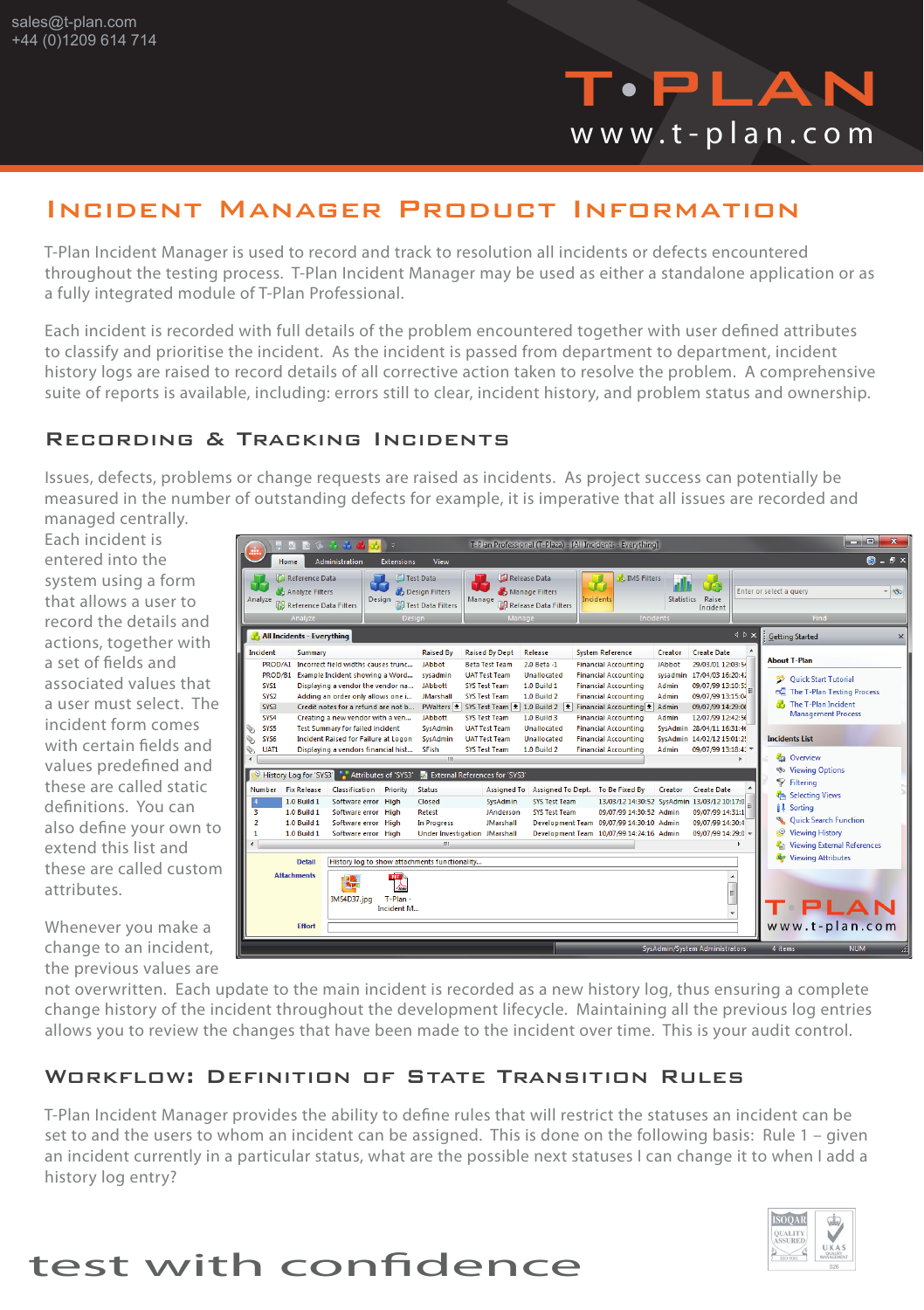

### Incident Manager Product Information

T-Plan Incident Manager is used to record and track to resolution all incidents or defects encountered throughout the testing process. T-Plan Incident Manager may be used as either a standalone application or as a fully integrated module of T-Plan Professional.

Each incident is recorded with full details of the problem encountered together with user defined attributes to classify and prioritise the incident. As the incident is passed from department to department, incident history logs are raised to record details of all corrective action taken to resolve the problem. A comprehensive suite of reports is available, including: errors still to clear, incident history, and problem status and ownership.

#### Recording & Tracking Incidents

Issues, defects, problems or change requests are raised as incidents. As project success can potentially be measured in the number of outstanding defects for example, it is imperative that all issues are recorded and managed centrally.

Each incident is entered into the system using a form that allows a user to record the details and actions, together with a set of fields and associated values that a user must select. The incident form comes with certain fields and values predefined and these are called static definitions. You can also define your own to extend this list and these are called custom attributes.

Whenever you make a change to an incident, the previous values are

| .                                                                                                                                       |                                                                                                                                                                                                                                                                                                                                                                                                                                                                                                                             | T-Plan Professional (T-Plaza) - [All Incidents - Everything]                                                                                                                                                                                                                                                                                                                                                                                                                                                                                                                                                                                                                                                                                                                                                                                                                                                                                                                                                                                             | and Co<br>$\overline{\mathbf{x}}$                                                                                                                                                             |  |  |  |
|-----------------------------------------------------------------------------------------------------------------------------------------|-----------------------------------------------------------------------------------------------------------------------------------------------------------------------------------------------------------------------------------------------------------------------------------------------------------------------------------------------------------------------------------------------------------------------------------------------------------------------------------------------------------------------------|----------------------------------------------------------------------------------------------------------------------------------------------------------------------------------------------------------------------------------------------------------------------------------------------------------------------------------------------------------------------------------------------------------------------------------------------------------------------------------------------------------------------------------------------------------------------------------------------------------------------------------------------------------------------------------------------------------------------------------------------------------------------------------------------------------------------------------------------------------------------------------------------------------------------------------------------------------------------------------------------------------------------------------------------------------|-----------------------------------------------------------------------------------------------------------------------------------------------------------------------------------------------|--|--|--|
| $\mathbf{B}$ . $\mathbf{B}$ $\times$<br>Administration<br><b>Home</b><br><b>Extensions</b><br>View                                      |                                                                                                                                                                                                                                                                                                                                                                                                                                                                                                                             |                                                                                                                                                                                                                                                                                                                                                                                                                                                                                                                                                                                                                                                                                                                                                                                                                                                                                                                                                                                                                                                          |                                                                                                                                                                                               |  |  |  |
| Reference Data<br>Analyze Filters<br>Analyze<br>Reference Data Filters<br>Analyze                                                       | <b>The Test Data</b><br><b>B</b> Design Filters<br>Design<br><b>DO Test Data Filters</b><br><b>Design</b>                                                                                                                                                                                                                                                                                                                                                                                                                   | Release Data<br><b>IMS Filters</b><br>TE-<br>Enter or select a query<br>Manage Filters<br>Manage<br>Incidents<br><b>Statistics</b><br>Raise<br><b>Collected Release Data Filters</b><br>Incident<br>Incidents<br>Manage                                                                                                                                                                                                                                                                                                                                                                                                                                                                                                                                                                                                                                                                                                                                                                                                                                  | - 60<br>Find                                                                                                                                                                                  |  |  |  |
| All Incidents - Everything                                                                                                              |                                                                                                                                                                                                                                                                                                                                                                                                                                                                                                                             | $\triangle$ $\triangleright$ $\times$                                                                                                                                                                                                                                                                                                                                                                                                                                                                                                                                                                                                                                                                                                                                                                                                                                                                                                                                                                                                                    | <b>Getting Started</b><br>$\times$                                                                                                                                                            |  |  |  |
| Incident<br>Summary<br>PROD/B1<br><b>SYS1</b><br>SYS <sub>2</sub><br>SYS3<br>SYS4<br>SYS5<br>SYS6<br>UAT1                               | <b>Raised By</b><br>PROD/A1 Incorrect field widths causes trunc<br>JAbbot<br>Example Incident showing a Word<br>sysadmin<br>Displaying a vendor the vendor na<br><b>JAbbott</b><br>Adding an order only allows one i<br><b>JMarshall</b><br>Credit notes for a refund are not b<br><b>JAbbott</b><br>Creating a new vendor with a ven<br><b>Test Summary for failed incident</b><br>SysAdmin<br><b>Incident Raised for Failure at Logon</b><br><b>SysAdmin</b><br><b>SFish</b><br>Displaying a vendors financial hist<br>m. | <b>Raised By Dept</b><br>Release<br><b>System Reference</b><br>Creator<br><b>Create Date</b><br><b>Beta Test Team</b><br>2.0 Beta -1<br><b>Financial Accounting</b><br><b>JAbbot</b><br>29/03/01 12:03:54<br>Unallocated<br><b>UAT Test Team</b><br><b>Financial Accounting</b><br>17/04/03 16:20:4.<br>sysadmin<br><b>SYS Test Team</b><br><b>1.0 Build 1</b><br><b>Financial Accounting</b><br>09/07/99 13:10:5:<br>Admin<br>1.0 Build 2<br><b>Financial Accounting</b><br>09/07/99 13:15:04<br><b>SYS Test Team</b><br>Admin<br>PWalters 2 SYS Test Team 2 1.0 Build 2 2<br>Financial Accounting<br>Admin<br>09/07/99 14:29:06<br><b>SYS Test Team</b><br>1.0 Build 3<br><b>Financial Accounting</b><br>12/07/99 12:42:56<br>Admin<br><b>UAT Test Team</b><br>Unallocated<br><b>Financial Accounting</b><br>SysAdmin 28/04/11 16:31:46<br><b>UAT Test Team</b><br>Unallocated<br><b>Financial Accounting</b><br>SysAdmin 14/02/12 15:01:2!<br><b>1.0 Build 2</b><br>09/07/99 13:18:4.<br><b>SYS Test Team</b><br><b>Financial Accounting</b><br>Admin | <b>About T-Plan</b><br><b>Quick Start Tutorial</b><br><b>EC</b> The T-Plan Testing Process<br>The T-Plan Incident<br><b>Management Process</b><br><b>Incidents List</b><br><b>Ca</b> Overview |  |  |  |
|                                                                                                                                         | <b>S</b> Viewing Options<br>Attributes of 'SYS3'<br>External References for 'SYS3'<br>History Log for 'SYS3'                                                                                                                                                                                                                                                                                                                                                                                                                |                                                                                                                                                                                                                                                                                                                                                                                                                                                                                                                                                                                                                                                                                                                                                                                                                                                                                                                                                                                                                                                          |                                                                                                                                                                                               |  |  |  |
| <b>Fix Release</b><br><b>Number</b><br>1.0 Build 1<br>1.0 Build 1<br>з<br>1.0 Build 1<br>$\overline{2}$<br>1.0 Build 1<br><b>Detail</b> | Classification<br>Priority<br><b>Status</b><br>Software error High<br>Closed<br>Software error High<br>Retest<br>Software error High<br>In Progress<br>Software error High<br>m<br>History log to show attachments functionality                                                                                                                                                                                                                                                                                            | <b>Assigned To</b><br>Assigned To Dept. To Be Fixed By<br>Creator<br><b>Create Date</b><br>SysAdmin<br><b>SYS Test Team</b><br>13/03/12 14:30:52 SvsAdmin 13/03/12 10:17:0<br>JAnderson<br>09/07/99 14:31:1<br><b>SYS Test Team</b><br>09/07/99 14:30:52 Admin<br>Development Team 09/07/99 14:30:10 Admin<br>09/07/99 14:30:4<br><b>JMarshall</b><br><b>Under Investigation JMarshall</b><br>Development Team 10/07/99 14:24:16 Admin<br>09/07/99 14:29:0                                                                                                                                                                                                                                                                                                                                                                                                                                                                                                                                                                                               | Filtering<br>Selecting Views<br><b>il</b> Sorting<br><b>Quick Search Function</b><br>Viewing History<br><b>Viewing External References</b><br>÷.<br><b>Re</b> Viewing Attributes              |  |  |  |
| <b>Attachments</b><br><b>Effort</b>                                                                                                     | PDF<br><b>New</b><br>∕≈<br>T-Plan-<br>IMS4D37.jpg<br>Incident M                                                                                                                                                                                                                                                                                                                                                                                                                                                             | 티                                                                                                                                                                                                                                                                                                                                                                                                                                                                                                                                                                                                                                                                                                                                                                                                                                                                                                                                                                                                                                                        | PLAN<br>www.t-plan.com                                                                                                                                                                        |  |  |  |

not overwritten. Each update to the main incident is recorded as a new history log, thus ensuring a complete change history of the incident throughout the development lifecycle. Maintaining all the previous log entries allows you to review the changes that have been made to the incident over time. This is your audit control.

#### Workflow: Definition of State Transition Rules

T-Plan Incident Manager provides the ability to define rules that will restrict the statuses an incident can be set to and the users to whom an incident can be assigned. This is done on the following basis: Rule 1 – given an incident currently in a particular status, what are the possible next statuses I can change it to when I add a history log entry?



# test with confidence